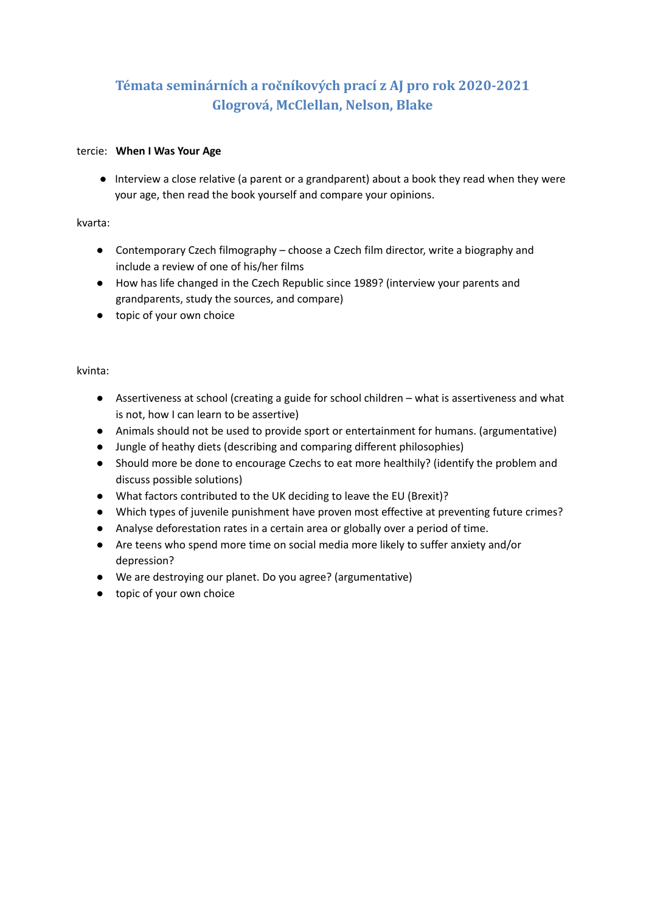# **Témata seminárních a ročníkových prací z AJ pro rok 2020-2021 Glogrová, McClellan, Nelson, Blake**

### tercie: **When I Was Your Age**

● Interview a close relative (a parent or a grandparent) about a book they read when they were your age, then read the book yourself and compare your opinions.

### kvarta:

- Contemporary Czech filmography choose a Czech film director, write a biography and include a review of one of his/her films
- How has life changed in the Czech Republic since 1989? (interview your parents and grandparents, study the sources, and compare)
- topic of your own choice

### kvinta:

- Assertiveness at school (creating a guide for school children what is assertiveness and what is not, how I can learn to be assertive)
- Animals should not be used to provide sport or entertainment for humans. (argumentative)
- Jungle of heathy diets (describing and comparing different philosophies)
- *●* Should more be done to encourage Czechs to eat more healthily? (identify the problem and discuss possible solutions)
- What factors contributed to the UK deciding to leave the EU (Brexit)?
- Which types of juvenile punishment have proven most effective at preventing future crimes?
- Analyse deforestation rates in a certain area or globally over a period of time.
- Are teens who spend more time on social media more likely to suffer anxiety and/or depression?
- We are destroying our planet. Do you agree? (argumentative)
- topic of your own choice